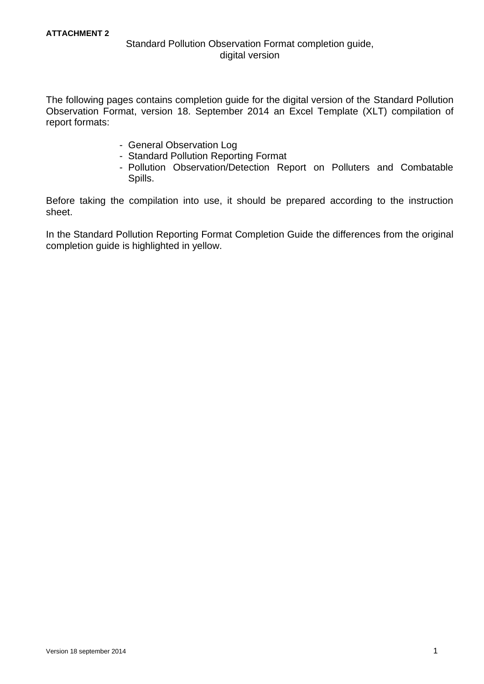## Standard Pollution Observation Format completion guide, digital version

The following pages contains completion guide for the digital version of the Standard Pollution Observation Format, version 18. September 2014 an Excel Template (XLT) compilation of report formats:

- General Observation Log
- Standard Pollution Reporting Format
- Pollution Observation/Detection Report on Polluters and Combatable Spills.

Before taking the compilation into use, it should be prepared according to the instruction sheet.

In the Standard Pollution Reporting Format Completion Guide the differences from the original completion guide is highlighted in yellow.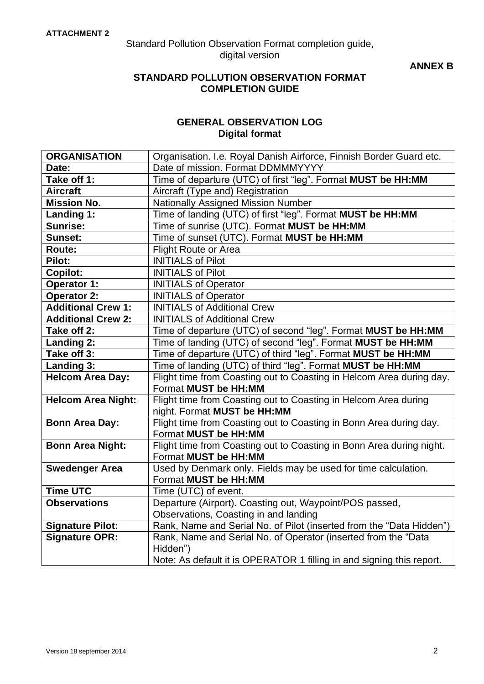Standard Pollution Observation Format completion guide, digital version

**ANNEX B**

## **STANDARD POLLUTION OBSERVATION FORMAT COMPLETION GUIDE**

## **GENERAL OBSERVATION LOG Digital format**

| <b>ORGANISATION</b>       | Organisation. I.e. Royal Danish Airforce, Finnish Border Guard etc.                    |  |  |
|---------------------------|----------------------------------------------------------------------------------------|--|--|
| Date:                     | Date of mission. Format DDMMMYYYY                                                      |  |  |
| Take off 1:               | Time of departure (UTC) of first "leg". Format MUST be HH:MM                           |  |  |
| <b>Aircraft</b>           | Aircraft (Type and) Registration                                                       |  |  |
| <b>Mission No.</b>        | <b>Nationally Assigned Mission Number</b>                                              |  |  |
| Landing 1:                | Time of landing (UTC) of first "leg". Format MUST be HH:MM                             |  |  |
| <b>Sunrise:</b>           | Time of sunrise (UTC). Format MUST be HH:MM                                            |  |  |
| Sunset:                   | Time of sunset (UTC). Format MUST be HH:MM                                             |  |  |
| Route:                    | <b>Flight Route or Area</b>                                                            |  |  |
| Pilot:                    | <b>INITIALS of Pilot</b>                                                               |  |  |
| <b>Copilot:</b>           | <b>INITIALS of Pilot</b>                                                               |  |  |
| <b>Operator 1:</b>        | <b>INITIALS of Operator</b>                                                            |  |  |
| <b>Operator 2:</b>        | <b>INITIALS of Operator</b>                                                            |  |  |
| <b>Additional Crew 1:</b> | <b>INITIALS of Additional Crew</b>                                                     |  |  |
| <b>Additional Crew 2:</b> | <b>INITIALS of Additional Crew</b>                                                     |  |  |
| Take off 2:               | Time of departure (UTC) of second "leg". Format MUST be HH:MM                          |  |  |
| Landing 2:                | Time of landing (UTC) of second "leg". Format MUST be HH:MM                            |  |  |
| Take off 3:               | Time of departure (UTC) of third "leg". Format MUST be HH:MM                           |  |  |
| Landing 3:                | Time of landing (UTC) of third "leg". Format MUST be HH:MM                             |  |  |
| <b>Helcom Area Day:</b>   | Flight time from Coasting out to Coasting in Helcom Area during day.                   |  |  |
|                           | Format MUST be HH:MM                                                                   |  |  |
| <b>Helcom Area Night:</b> | Flight time from Coasting out to Coasting in Helcom Area during                        |  |  |
|                           | night. Format MUST be HH:MM                                                            |  |  |
| <b>Bonn Area Day:</b>     | Flight time from Coasting out to Coasting in Bonn Area during day.                     |  |  |
|                           | Format MUST be HH:MM                                                                   |  |  |
| <b>Bonn Area Night:</b>   | Flight time from Coasting out to Coasting in Bonn Area during night.                   |  |  |
|                           | Format MUST be HH:MM                                                                   |  |  |
| <b>Swedenger Area</b>     | Used by Denmark only. Fields may be used for time calculation.<br>Format MUST be HH:MM |  |  |
| <b>Time UTC</b>           |                                                                                        |  |  |
| <b>Observations</b>       | Time (UTC) of event.<br>Departure (Airport). Coasting out, Waypoint/POS passed,        |  |  |
|                           | Observations, Coasting in and landing                                                  |  |  |
| <b>Signature Pilot:</b>   | Rank, Name and Serial No. of Pilot (inserted from the "Data Hidden")                   |  |  |
| <b>Signature OPR:</b>     | Rank, Name and Serial No. of Operator (inserted from the "Data                         |  |  |
|                           | Hidden")                                                                               |  |  |
|                           | Note: As default it is OPERATOR 1 filling in and signing this report.                  |  |  |
|                           |                                                                                        |  |  |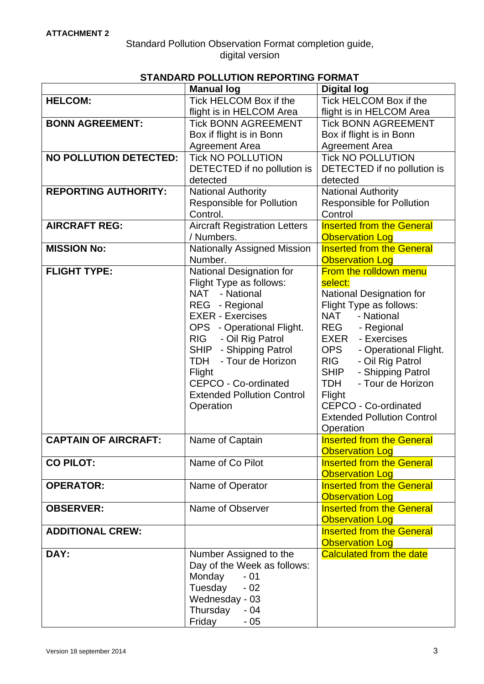## **STANDARD POLLUTION REPORTING FORMAT**

| <b>HELCOM:</b><br>Tick HELCOM Box if the<br>Tick HELCOM Box if the<br>flight is in HELCOM Area<br>flight is in HELCOM Area<br><b>BONN AGREEMENT:</b><br><b>Tick BONN AGREEMENT</b><br><b>Tick BONN AGREEMENT</b><br>Box if flight is in Bonn<br>Box if flight is in Bonn<br><b>Agreement Area</b><br><b>Agreement Area</b><br><b>Tick NO POLLUTION</b><br><b>NO POLLUTION DETECTED:</b><br><b>Tick NO POLLUTION</b><br>DETECTED if no pollution is<br>DETECTED if no pollution is<br>detected<br>detected<br><b>REPORTING AUTHORITY:</b><br><b>National Authority</b><br><b>National Authority</b><br><b>Responsible for Pollution</b><br><b>Responsible for Pollution</b><br>Control.<br>Control<br><b>Aircraft Registration Letters</b><br><b>Inserted from the General</b><br><b>AIRCRAFT REG:</b><br>/ Numbers.<br><b>Observation Log</b><br><b>Nationally Assigned Mission</b><br><b>MISSION No:</b><br><b>Inserted from the General</b><br>Number.<br><b>Observation Log</b><br>From the rolldown menu<br><b>FLIGHT TYPE:</b><br><b>National Designation for</b><br>Flight Type as follows:<br>select:<br><b>NAT</b><br>- National<br>National Designation for<br>Flight Type as follows:<br>- Regional<br><b>REG</b><br><b>EXER - Exercises</b><br><b>NAT</b><br>- National<br><b>REG</b><br>OPS - Operational Flight.<br>- Regional<br><b>RIG</b><br>- Oil Rig Patrol<br>- Exercises<br>EXER<br>SHIP - Shipping Patrol<br><b>OPS</b><br>- Operational Flight.<br><b>TDH</b><br><b>RIG</b><br>- Tour de Horizon<br>- Oil Rig Patrol<br><b>SHIP</b><br>- Shipping Patrol<br>Flight<br><b>CEPCO - Co-ordinated</b><br><b>TDH</b><br>- Tour de Horizon<br><b>Extended Pollution Control</b><br>Flight<br>CEPCO - Co-ordinated<br>Operation<br><b>Extended Pollution Control</b><br>Operation<br><b>CAPTAIN OF AIRCRAFT:</b><br><b>Inserted from the General</b><br>Name of Captain | <b>Manual log</b> | <b>Digital log</b> |
|----------------------------------------------------------------------------------------------------------------------------------------------------------------------------------------------------------------------------------------------------------------------------------------------------------------------------------------------------------------------------------------------------------------------------------------------------------------------------------------------------------------------------------------------------------------------------------------------------------------------------------------------------------------------------------------------------------------------------------------------------------------------------------------------------------------------------------------------------------------------------------------------------------------------------------------------------------------------------------------------------------------------------------------------------------------------------------------------------------------------------------------------------------------------------------------------------------------------------------------------------------------------------------------------------------------------------------------------------------------------------------------------------------------------------------------------------------------------------------------------------------------------------------------------------------------------------------------------------------------------------------------------------------------------------------------------------------------------------------------------------------------------------------------------------------------------------------------------------------------------------------------|-------------------|--------------------|
|                                                                                                                                                                                                                                                                                                                                                                                                                                                                                                                                                                                                                                                                                                                                                                                                                                                                                                                                                                                                                                                                                                                                                                                                                                                                                                                                                                                                                                                                                                                                                                                                                                                                                                                                                                                                                                                                                        |                   |                    |
|                                                                                                                                                                                                                                                                                                                                                                                                                                                                                                                                                                                                                                                                                                                                                                                                                                                                                                                                                                                                                                                                                                                                                                                                                                                                                                                                                                                                                                                                                                                                                                                                                                                                                                                                                                                                                                                                                        |                   |                    |
|                                                                                                                                                                                                                                                                                                                                                                                                                                                                                                                                                                                                                                                                                                                                                                                                                                                                                                                                                                                                                                                                                                                                                                                                                                                                                                                                                                                                                                                                                                                                                                                                                                                                                                                                                                                                                                                                                        |                   |                    |
|                                                                                                                                                                                                                                                                                                                                                                                                                                                                                                                                                                                                                                                                                                                                                                                                                                                                                                                                                                                                                                                                                                                                                                                                                                                                                                                                                                                                                                                                                                                                                                                                                                                                                                                                                                                                                                                                                        |                   |                    |
|                                                                                                                                                                                                                                                                                                                                                                                                                                                                                                                                                                                                                                                                                                                                                                                                                                                                                                                                                                                                                                                                                                                                                                                                                                                                                                                                                                                                                                                                                                                                                                                                                                                                                                                                                                                                                                                                                        |                   |                    |
|                                                                                                                                                                                                                                                                                                                                                                                                                                                                                                                                                                                                                                                                                                                                                                                                                                                                                                                                                                                                                                                                                                                                                                                                                                                                                                                                                                                                                                                                                                                                                                                                                                                                                                                                                                                                                                                                                        |                   |                    |
|                                                                                                                                                                                                                                                                                                                                                                                                                                                                                                                                                                                                                                                                                                                                                                                                                                                                                                                                                                                                                                                                                                                                                                                                                                                                                                                                                                                                                                                                                                                                                                                                                                                                                                                                                                                                                                                                                        |                   |                    |
|                                                                                                                                                                                                                                                                                                                                                                                                                                                                                                                                                                                                                                                                                                                                                                                                                                                                                                                                                                                                                                                                                                                                                                                                                                                                                                                                                                                                                                                                                                                                                                                                                                                                                                                                                                                                                                                                                        |                   |                    |
|                                                                                                                                                                                                                                                                                                                                                                                                                                                                                                                                                                                                                                                                                                                                                                                                                                                                                                                                                                                                                                                                                                                                                                                                                                                                                                                                                                                                                                                                                                                                                                                                                                                                                                                                                                                                                                                                                        |                   |                    |
|                                                                                                                                                                                                                                                                                                                                                                                                                                                                                                                                                                                                                                                                                                                                                                                                                                                                                                                                                                                                                                                                                                                                                                                                                                                                                                                                                                                                                                                                                                                                                                                                                                                                                                                                                                                                                                                                                        |                   |                    |
|                                                                                                                                                                                                                                                                                                                                                                                                                                                                                                                                                                                                                                                                                                                                                                                                                                                                                                                                                                                                                                                                                                                                                                                                                                                                                                                                                                                                                                                                                                                                                                                                                                                                                                                                                                                                                                                                                        |                   |                    |
|                                                                                                                                                                                                                                                                                                                                                                                                                                                                                                                                                                                                                                                                                                                                                                                                                                                                                                                                                                                                                                                                                                                                                                                                                                                                                                                                                                                                                                                                                                                                                                                                                                                                                                                                                                                                                                                                                        |                   |                    |
|                                                                                                                                                                                                                                                                                                                                                                                                                                                                                                                                                                                                                                                                                                                                                                                                                                                                                                                                                                                                                                                                                                                                                                                                                                                                                                                                                                                                                                                                                                                                                                                                                                                                                                                                                                                                                                                                                        |                   |                    |
|                                                                                                                                                                                                                                                                                                                                                                                                                                                                                                                                                                                                                                                                                                                                                                                                                                                                                                                                                                                                                                                                                                                                                                                                                                                                                                                                                                                                                                                                                                                                                                                                                                                                                                                                                                                                                                                                                        |                   |                    |
|                                                                                                                                                                                                                                                                                                                                                                                                                                                                                                                                                                                                                                                                                                                                                                                                                                                                                                                                                                                                                                                                                                                                                                                                                                                                                                                                                                                                                                                                                                                                                                                                                                                                                                                                                                                                                                                                                        |                   |                    |
|                                                                                                                                                                                                                                                                                                                                                                                                                                                                                                                                                                                                                                                                                                                                                                                                                                                                                                                                                                                                                                                                                                                                                                                                                                                                                                                                                                                                                                                                                                                                                                                                                                                                                                                                                                                                                                                                                        |                   |                    |
|                                                                                                                                                                                                                                                                                                                                                                                                                                                                                                                                                                                                                                                                                                                                                                                                                                                                                                                                                                                                                                                                                                                                                                                                                                                                                                                                                                                                                                                                                                                                                                                                                                                                                                                                                                                                                                                                                        |                   |                    |
|                                                                                                                                                                                                                                                                                                                                                                                                                                                                                                                                                                                                                                                                                                                                                                                                                                                                                                                                                                                                                                                                                                                                                                                                                                                                                                                                                                                                                                                                                                                                                                                                                                                                                                                                                                                                                                                                                        |                   |                    |
|                                                                                                                                                                                                                                                                                                                                                                                                                                                                                                                                                                                                                                                                                                                                                                                                                                                                                                                                                                                                                                                                                                                                                                                                                                                                                                                                                                                                                                                                                                                                                                                                                                                                                                                                                                                                                                                                                        |                   |                    |
|                                                                                                                                                                                                                                                                                                                                                                                                                                                                                                                                                                                                                                                                                                                                                                                                                                                                                                                                                                                                                                                                                                                                                                                                                                                                                                                                                                                                                                                                                                                                                                                                                                                                                                                                                                                                                                                                                        |                   |                    |
|                                                                                                                                                                                                                                                                                                                                                                                                                                                                                                                                                                                                                                                                                                                                                                                                                                                                                                                                                                                                                                                                                                                                                                                                                                                                                                                                                                                                                                                                                                                                                                                                                                                                                                                                                                                                                                                                                        |                   |                    |
|                                                                                                                                                                                                                                                                                                                                                                                                                                                                                                                                                                                                                                                                                                                                                                                                                                                                                                                                                                                                                                                                                                                                                                                                                                                                                                                                                                                                                                                                                                                                                                                                                                                                                                                                                                                                                                                                                        |                   |                    |
|                                                                                                                                                                                                                                                                                                                                                                                                                                                                                                                                                                                                                                                                                                                                                                                                                                                                                                                                                                                                                                                                                                                                                                                                                                                                                                                                                                                                                                                                                                                                                                                                                                                                                                                                                                                                                                                                                        |                   |                    |
|                                                                                                                                                                                                                                                                                                                                                                                                                                                                                                                                                                                                                                                                                                                                                                                                                                                                                                                                                                                                                                                                                                                                                                                                                                                                                                                                                                                                                                                                                                                                                                                                                                                                                                                                                                                                                                                                                        |                   |                    |
|                                                                                                                                                                                                                                                                                                                                                                                                                                                                                                                                                                                                                                                                                                                                                                                                                                                                                                                                                                                                                                                                                                                                                                                                                                                                                                                                                                                                                                                                                                                                                                                                                                                                                                                                                                                                                                                                                        |                   |                    |
|                                                                                                                                                                                                                                                                                                                                                                                                                                                                                                                                                                                                                                                                                                                                                                                                                                                                                                                                                                                                                                                                                                                                                                                                                                                                                                                                                                                                                                                                                                                                                                                                                                                                                                                                                                                                                                                                                        |                   |                    |
|                                                                                                                                                                                                                                                                                                                                                                                                                                                                                                                                                                                                                                                                                                                                                                                                                                                                                                                                                                                                                                                                                                                                                                                                                                                                                                                                                                                                                                                                                                                                                                                                                                                                                                                                                                                                                                                                                        |                   |                    |
|                                                                                                                                                                                                                                                                                                                                                                                                                                                                                                                                                                                                                                                                                                                                                                                                                                                                                                                                                                                                                                                                                                                                                                                                                                                                                                                                                                                                                                                                                                                                                                                                                                                                                                                                                                                                                                                                                        |                   |                    |
|                                                                                                                                                                                                                                                                                                                                                                                                                                                                                                                                                                                                                                                                                                                                                                                                                                                                                                                                                                                                                                                                                                                                                                                                                                                                                                                                                                                                                                                                                                                                                                                                                                                                                                                                                                                                                                                                                        |                   |                    |
|                                                                                                                                                                                                                                                                                                                                                                                                                                                                                                                                                                                                                                                                                                                                                                                                                                                                                                                                                                                                                                                                                                                                                                                                                                                                                                                                                                                                                                                                                                                                                                                                                                                                                                                                                                                                                                                                                        |                   |                    |
|                                                                                                                                                                                                                                                                                                                                                                                                                                                                                                                                                                                                                                                                                                                                                                                                                                                                                                                                                                                                                                                                                                                                                                                                                                                                                                                                                                                                                                                                                                                                                                                                                                                                                                                                                                                                                                                                                        |                   |                    |
| <b>Observation Log</b>                                                                                                                                                                                                                                                                                                                                                                                                                                                                                                                                                                                                                                                                                                                                                                                                                                                                                                                                                                                                                                                                                                                                                                                                                                                                                                                                                                                                                                                                                                                                                                                                                                                                                                                                                                                                                                                                 |                   |                    |
| <b>Inserted from the General</b><br><b>CO PILOT:</b><br>Name of Co Pilot                                                                                                                                                                                                                                                                                                                                                                                                                                                                                                                                                                                                                                                                                                                                                                                                                                                                                                                                                                                                                                                                                                                                                                                                                                                                                                                                                                                                                                                                                                                                                                                                                                                                                                                                                                                                               |                   |                    |
| <b>Observation Log</b><br><b>Inserted from the General</b>                                                                                                                                                                                                                                                                                                                                                                                                                                                                                                                                                                                                                                                                                                                                                                                                                                                                                                                                                                                                                                                                                                                                                                                                                                                                                                                                                                                                                                                                                                                                                                                                                                                                                                                                                                                                                             |                   |                    |
| <b>OPERATOR:</b><br>Name of Operator                                                                                                                                                                                                                                                                                                                                                                                                                                                                                                                                                                                                                                                                                                                                                                                                                                                                                                                                                                                                                                                                                                                                                                                                                                                                                                                                                                                                                                                                                                                                                                                                                                                                                                                                                                                                                                                   |                   |                    |
| <b>Observation Log</b><br>Name of Observer<br><b>Inserted from the General</b><br><b>OBSERVER:</b>                                                                                                                                                                                                                                                                                                                                                                                                                                                                                                                                                                                                                                                                                                                                                                                                                                                                                                                                                                                                                                                                                                                                                                                                                                                                                                                                                                                                                                                                                                                                                                                                                                                                                                                                                                                     |                   |                    |
| <b>Observation Log</b>                                                                                                                                                                                                                                                                                                                                                                                                                                                                                                                                                                                                                                                                                                                                                                                                                                                                                                                                                                                                                                                                                                                                                                                                                                                                                                                                                                                                                                                                                                                                                                                                                                                                                                                                                                                                                                                                 |                   |                    |
| <b>Inserted from the General</b><br><b>ADDITIONAL CREW:</b>                                                                                                                                                                                                                                                                                                                                                                                                                                                                                                                                                                                                                                                                                                                                                                                                                                                                                                                                                                                                                                                                                                                                                                                                                                                                                                                                                                                                                                                                                                                                                                                                                                                                                                                                                                                                                            |                   |                    |
|                                                                                                                                                                                                                                                                                                                                                                                                                                                                                                                                                                                                                                                                                                                                                                                                                                                                                                                                                                                                                                                                                                                                                                                                                                                                                                                                                                                                                                                                                                                                                                                                                                                                                                                                                                                                                                                                                        |                   |                    |
| <b>Observation Log</b><br>DAY:<br><b>Calculated from the date</b><br>Number Assigned to the                                                                                                                                                                                                                                                                                                                                                                                                                                                                                                                                                                                                                                                                                                                                                                                                                                                                                                                                                                                                                                                                                                                                                                                                                                                                                                                                                                                                                                                                                                                                                                                                                                                                                                                                                                                            |                   |                    |
| Day of the Week as follows:                                                                                                                                                                                                                                                                                                                                                                                                                                                                                                                                                                                                                                                                                                                                                                                                                                                                                                                                                                                                                                                                                                                                                                                                                                                                                                                                                                                                                                                                                                                                                                                                                                                                                                                                                                                                                                                            |                   |                    |
| Monday<br>$-01$                                                                                                                                                                                                                                                                                                                                                                                                                                                                                                                                                                                                                                                                                                                                                                                                                                                                                                                                                                                                                                                                                                                                                                                                                                                                                                                                                                                                                                                                                                                                                                                                                                                                                                                                                                                                                                                                        |                   |                    |
| Tuesday<br>$-02$                                                                                                                                                                                                                                                                                                                                                                                                                                                                                                                                                                                                                                                                                                                                                                                                                                                                                                                                                                                                                                                                                                                                                                                                                                                                                                                                                                                                                                                                                                                                                                                                                                                                                                                                                                                                                                                                       |                   |                    |
| Wednesday - 03                                                                                                                                                                                                                                                                                                                                                                                                                                                                                                                                                                                                                                                                                                                                                                                                                                                                                                                                                                                                                                                                                                                                                                                                                                                                                                                                                                                                                                                                                                                                                                                                                                                                                                                                                                                                                                                                         |                   |                    |
| Thursday<br>$-04$                                                                                                                                                                                                                                                                                                                                                                                                                                                                                                                                                                                                                                                                                                                                                                                                                                                                                                                                                                                                                                                                                                                                                                                                                                                                                                                                                                                                                                                                                                                                                                                                                                                                                                                                                                                                                                                                      |                   |                    |
| Friday<br>- 05                                                                                                                                                                                                                                                                                                                                                                                                                                                                                                                                                                                                                                                                                                                                                                                                                                                                                                                                                                                                                                                                                                                                                                                                                                                                                                                                                                                                                                                                                                                                                                                                                                                                                                                                                                                                                                                                         |                   |                    |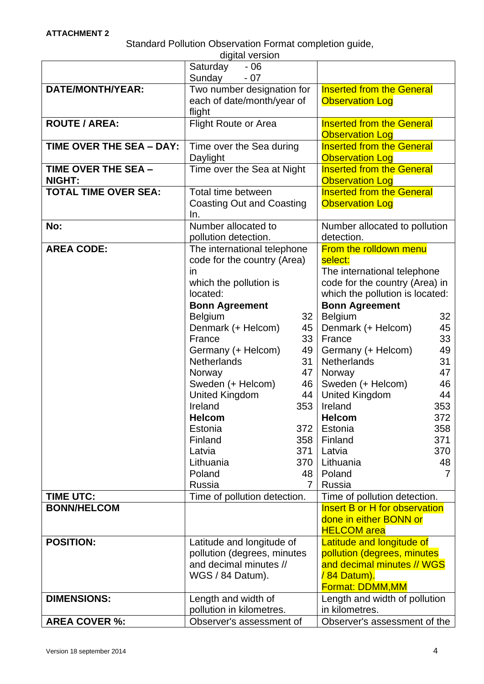Standard Pollution Observation Format completion guide,

|                             | digital version                    |                                        |
|-----------------------------|------------------------------------|----------------------------------------|
|                             | Saturday<br>$-06$                  |                                        |
|                             | Sunday<br>$-07$                    |                                        |
| <b>DATE/MONTH/YEAR:</b>     | Two number designation for         | <b>Inserted from the General</b>       |
|                             | each of date/month/year of         | <b>Observation Log</b>                 |
|                             | flight                             |                                        |
| <b>ROUTE / AREA:</b>        | <b>Flight Route or Area</b>        | <b>Inserted from the General</b>       |
|                             |                                    | <b>Observation Log</b>                 |
| TIME OVER THE SEA - DAY:    | Time over the Sea during           | <b>Inserted from the General</b>       |
|                             | Daylight                           | <b>Observation Log</b>                 |
| TIME OVER THE SEA -         | Time over the Sea at Night         | <b>Inserted from the General</b>       |
| <b>NIGHT:</b>               |                                    | <b>Observation Log</b>                 |
| <b>TOTAL TIME OVER SEA:</b> | Total time between                 | <b>Inserted from the General</b>       |
|                             | <b>Coasting Out and Coasting</b>   | <b>Observation Log</b>                 |
|                             | In.                                |                                        |
| No:                         | Number allocated to                | Number allocated to pollution          |
|                             | pollution detection.               | detection.                             |
| <b>AREA CODE:</b>           | The international telephone        | From the rolldown menu                 |
|                             | code for the country (Area)        | select:                                |
|                             | in                                 | The international telephone            |
|                             | which the pollution is             | code for the country (Area) in         |
|                             | located:                           | which the pollution is located:        |
|                             | <b>Bonn Agreement</b>              | <b>Bonn Agreement</b>                  |
|                             | <b>Belgium</b><br>32               | <b>Belgium</b><br>32                   |
|                             | Denmark (+ Helcom)<br>45           | 45<br>Denmark (+ Helcom)               |
|                             | 33<br>France                       | 33<br>France                           |
|                             | Germany (+ Helcom)<br>49           | 49<br>Germany (+ Helcom)               |
|                             | <b>Netherlands</b><br>31           | 31<br><b>Netherlands</b>               |
|                             | 47<br>Norway                       | Norway<br>47                           |
|                             | Sweden (+ Helcom)<br>46            | Sweden (+ Helcom)<br>46                |
|                             | <b>United Kingdom</b><br>44<br>353 | <b>United Kingdom</b><br>44            |
|                             | Ireland<br><b>Helcom</b>           | 353<br>Ireland<br>372<br><b>Helcom</b> |
|                             | Estonia<br>372                     | 358<br>Estonia                         |
|                             | 358<br>Finland                     | 371<br>Finland                         |
|                             | Latvia<br>371                      | 370<br>Latvia                          |
|                             | Lithuania<br>370                   | Lithuania<br>48                        |
|                             | Poland<br>48                       | Poland<br>7                            |
|                             | Russia<br>$\overline{7}$           | Russia                                 |
| <b>TIME UTC:</b>            | Time of pollution detection.       | Time of pollution detection.           |
| <b>BONN/HELCOM</b>          |                                    | <b>Insert B or H for observation</b>   |
|                             |                                    | done in either BONN or                 |
|                             |                                    | <b>HELCOM</b> area                     |
| <b>POSITION:</b>            | Latitude and longitude of          | Latitude and longitude of              |
|                             | pollution (degrees, minutes        | pollution (degrees, minutes            |
|                             | and decimal minutes //             | and decimal minutes // WGS             |
|                             | WGS / 84 Datum).                   | /84 Datum).                            |
|                             |                                    | Format: DDMM, MM                       |
| <b>DIMENSIONS:</b>          | Length and width of                | Length and width of pollution          |
|                             | pollution in kilometres.           | in kilometres.                         |
| <b>AREA COVER %:</b>        | Observer's assessment of           | Observer's assessment of the           |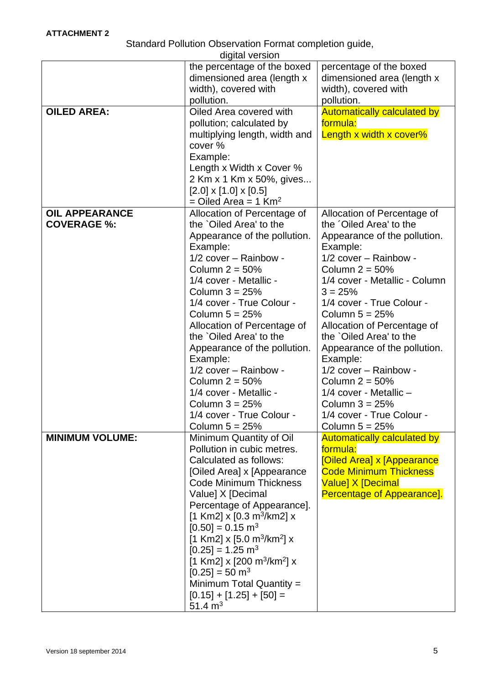Standard Pollution Observation Format completion guide,

|                        | digital version                                      |                                            |
|------------------------|------------------------------------------------------|--------------------------------------------|
|                        | the percentage of the boxed                          | percentage of the boxed                    |
|                        | dimensioned area (length x                           | dimensioned area (length x                 |
|                        | width), covered with                                 | width), covered with                       |
|                        | pollution.                                           | pollution.                                 |
| <b>OILED AREA:</b>     | Oiled Area covered with                              | <b>Automatically calculated by</b>         |
|                        | pollution; calculated by                             | formula:                                   |
|                        | multiplying length, width and<br>cover %             | Length x width x cover%                    |
|                        | Example:                                             |                                            |
|                        | Length x Width x Cover %                             |                                            |
|                        | 2 Km x 1 Km x 50%, gives                             |                                            |
|                        | $[2.0] \times [1.0] \times [0.5]$                    |                                            |
|                        | $=$ Oiled Area = 1 Km <sup>2</sup>                   |                                            |
| <b>OIL APPEARANCE</b>  | Allocation of Percentage of                          | Allocation of Percentage of                |
| <b>COVERAGE %:</b>     | the `Oiled Area' to the                              | the 'Oiled Area' to the                    |
|                        | Appearance of the pollution.                         | Appearance of the pollution.               |
|                        | Example:                                             | Example:                                   |
|                        | $1/2$ cover - Rainbow -                              | $1/2$ cover - Rainbow -                    |
|                        | Column $2 = 50\%$                                    | Column $2 = 50\%$                          |
|                        | 1/4 cover - Metallic -<br>Column $3 = 25%$           | 1/4 cover - Metallic - Column<br>$3 = 25%$ |
|                        | 1/4 cover - True Colour -                            | 1/4 cover - True Colour -                  |
|                        | Column $5 = 25%$                                     | Column $5 = 25%$                           |
|                        | Allocation of Percentage of                          | Allocation of Percentage of                |
|                        | the `Oiled Area' to the                              | the `Oiled Area' to the                    |
|                        | Appearance of the pollution.                         | Appearance of the pollution.               |
|                        | Example:                                             | Example:                                   |
|                        | $1/2$ cover - Rainbow -                              | 1/2 cover - Rainbow -                      |
|                        | Column $2 = 50\%$                                    | Column $2 = 50\%$                          |
|                        | 1/4 cover - Metallic -                               | 1/4 cover - Metallic -                     |
|                        | Column $3 = 25%$                                     | Column $3 = 25%$                           |
|                        | 1/4 cover - True Colour                              | 1/4 cover - True Colour ·                  |
|                        | Column $5 = 25%$                                     | Column $5 = 25%$                           |
| <b>MINIMUM VOLUME:</b> | Minimum Quantity of Oil                              | <b>Automatically calculated by</b>         |
|                        | Pollution in cubic metres.<br>Calculated as follows: | formula:<br>[Oiled Area] x [Appearance     |
|                        | [Oiled Area] x [Appearance                           | <b>Code Minimum Thickness</b>              |
|                        | <b>Code Minimum Thickness</b>                        | <b>Value] X [Decimal</b>                   |
|                        | Value] X [Decimal                                    | Percentage of Appearance].                 |
|                        | Percentage of Appearance].                           |                                            |
|                        | [1 Km2] $\times$ [0.3 m <sup>3</sup> /km2] $\times$  |                                            |
|                        | $[0.50] = 0.15$ m <sup>3</sup>                       |                                            |
|                        | [1 Km2] x [5.0 m <sup>3</sup> /km <sup>2</sup> ] x   |                                            |
|                        | $[0.25] = 1.25$ m <sup>3</sup>                       |                                            |
|                        | [1 Km2] x [200 m <sup>3</sup> /km <sup>2</sup> ] x   |                                            |
|                        | $[0.25] = 50$ m <sup>3</sup>                         |                                            |
|                        | Minimum Total Quantity =                             |                                            |
|                        | $[0.15] + [1.25] + [50] =$                           |                                            |
|                        | 51.4 $m3$                                            |                                            |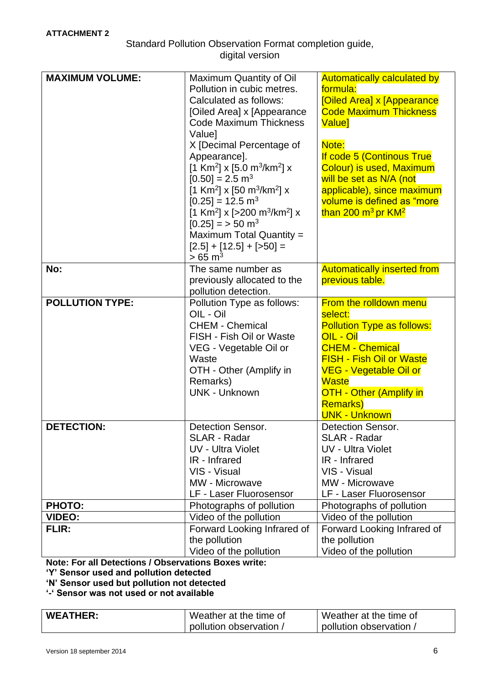Standard Pollution Observation Format completion guide, digital version

| <b>MAXIMUM VOLUME:</b> | Maximum Quantity of Oil<br>Pollution in cubic metres.<br>Calculated as follows:<br>[Oiled Area] x [Appearance<br>Code Maximum Thickness<br>Value]<br>X [Decimal Percentage of<br>Appearance].<br>[1 Km <sup>2</sup> ] x [5.0 m <sup>3</sup> /km <sup>2</sup> ] x<br>$[0.50] = 2.5$ m <sup>3</sup><br>[1 Km <sup>2</sup> ] x [50 m <sup>3</sup> /km <sup>2</sup> ] x<br>$[0.25] = 12.5$ m <sup>3</sup><br>[1 Km <sup>2</sup> ] x [>200 m <sup>3</sup> /km <sup>2</sup> ] x<br>$[0.25] = 50$ m <sup>3</sup><br>Maximum Total Quantity =<br>$[2.5] + [12.5] + [50] =$<br>$> 65 \text{ m}^3$ | <b>Automatically calculated by</b><br>formula:<br>[Oiled Area] x [Appearance<br><b>Code Maximum Thickness</b><br><b>Value</b> ]<br>Note:<br>If code 5 (Continous True<br>Colour) is used, Maximum<br>will be set as N/A (not<br>applicable), since maximum<br>volume is defined as "more<br>than 200 m <sup>3</sup> pr KM <sup>2</sup> |
|------------------------|------------------------------------------------------------------------------------------------------------------------------------------------------------------------------------------------------------------------------------------------------------------------------------------------------------------------------------------------------------------------------------------------------------------------------------------------------------------------------------------------------------------------------------------------------------------------------------------|----------------------------------------------------------------------------------------------------------------------------------------------------------------------------------------------------------------------------------------------------------------------------------------------------------------------------------------|
| No:                    | The same number as                                                                                                                                                                                                                                                                                                                                                                                                                                                                                                                                                                       | <b>Automatically inserted from</b>                                                                                                                                                                                                                                                                                                     |
|                        | previously allocated to the<br>pollution detection.                                                                                                                                                                                                                                                                                                                                                                                                                                                                                                                                      | previous table.                                                                                                                                                                                                                                                                                                                        |
| <b>POLLUTION TYPE:</b> | Pollution Type as follows:<br>OIL - Oil<br><b>CHEM - Chemical</b><br>FISH - Fish Oil or Waste<br>VEG - Vegetable Oil or<br>Waste<br>OTH - Other (Amplify in<br>Remarks)<br><b>UNK - Unknown</b>                                                                                                                                                                                                                                                                                                                                                                                          | From the rolldown menu<br>select:<br><b>Pollution Type as follows:</b><br>OIL - Oil<br><b>CHEM - Chemical</b><br><b>FISH - Fish Oil or Waste</b><br><b>VEG - Vegetable Oil or</b><br><b>Waste</b><br><b>OTH - Other (Amplify in</b><br><b>Remarks)</b><br><b>UNK - Unknown</b>                                                         |
| <b>DETECTION:</b>      | <b>Detection Sensor.</b><br><b>SLAR - Radar</b><br><b>UV - Ultra Violet</b><br>IR - Infrared<br>VIS - Visual<br>MW - Microwave<br>LF - Laser Fluorosensor                                                                                                                                                                                                                                                                                                                                                                                                                                | <b>Detection Sensor.</b><br><b>SLAR - Radar</b><br><b>UV - Ultra Violet</b><br>IR - Infrared<br>VIS - Visual<br>MW - Microwave<br>LF - Laser Fluorosensor                                                                                                                                                                              |
| <b>PHOTO:</b>          | Photographs of pollution                                                                                                                                                                                                                                                                                                                                                                                                                                                                                                                                                                 | Photographs of pollution                                                                                                                                                                                                                                                                                                               |
| <b>VIDEO:</b>          | Video of the pollution                                                                                                                                                                                                                                                                                                                                                                                                                                                                                                                                                                   | Video of the pollution                                                                                                                                                                                                                                                                                                                 |
| FLIR:                  | Forward Looking Infrared of<br>the pollution<br>Video of the pollution                                                                                                                                                                                                                                                                                                                                                                                                                                                                                                                   | Forward Looking Infrared of<br>the pollution<br>Video of the pollution                                                                                                                                                                                                                                                                 |

**Note: For all Detections / Observations Boxes write:**

**'Y' Sensor used and pollution detected**

**'N' Sensor used but pollution not detected**

**'-' Sensor was not used or not available**

| <b>WEATHER:</b> | Weather at the time of | Weather at the time of |
|-----------------|------------------------|------------------------|
|                 | pollution observation  | pollution observation, |